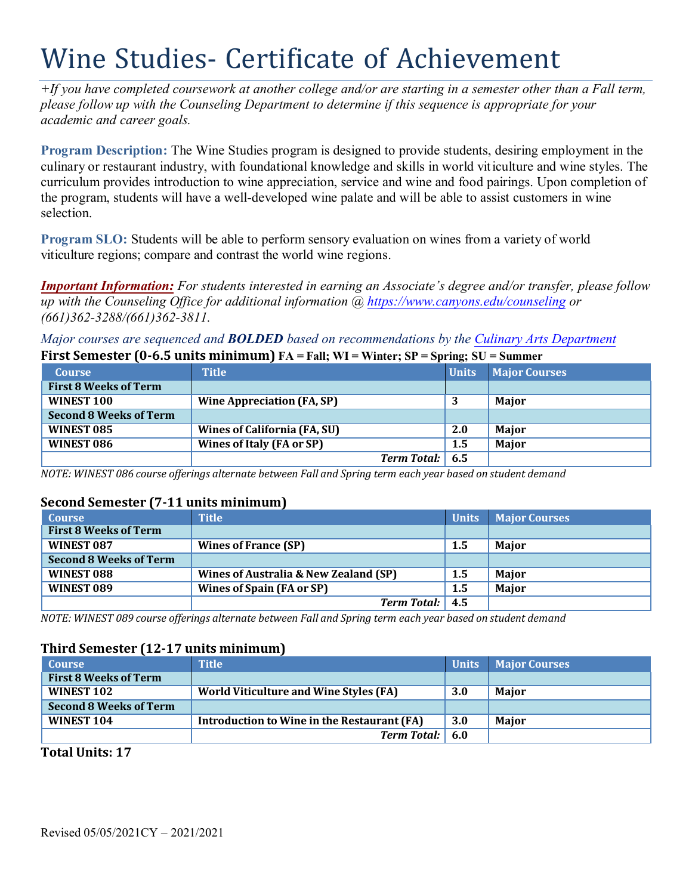# Wine Studies- Certificate of Achievement

*+If you have completed coursework at another college and/or are starting in a semester other than a Fall term, please follow up with the Counseling Department to determine if this sequence is appropriate for your academic and career goals.* 

**Program Description:** The Wine Studies program is designed to provide students, desiring employment in the culinary or restaurant industry, with foundational knowledge and skills in world viticulture and wine styles. The curriculum provides introduction to wine appreciation, service and wine and food pairings. Upon completion of the program, students will have a well-developed wine palate and will be able to assist customers in wine selection.

**Program SLO:** Students will be able to perform sensory evaluation on wines from a variety of world viticulture regions; compare and contrast the world wine regions.

*Important Information: For students interested in earning an Associate's degree and/or transfer, please follow up with the Counseling Office for additional information @<https://www.canyons.edu/counseling> or (661)362-3288/(661)362-3811.* 

*Major courses are sequenced and BOLDED based on recommendations by the Culinary Arts Department*  **First Semester (0-6.5 units minimum) FA = Fall; WI = Winter; SP = Spring; SU = Summer** 

| <b>Course</b>                 | <b>Title</b>                        | <b>Units</b> | <b>Major Courses</b> |
|-------------------------------|-------------------------------------|--------------|----------------------|
| <b>First 8 Weeks of Term</b>  |                                     |              |                      |
| WINEST 100                    | <b>Wine Appreciation (FA, SP)</b>   | 3            | <b>Maior</b>         |
| <b>Second 8 Weeks of Term</b> |                                     |              |                      |
| WINEST 085                    | <b>Wines of California (FA, SU)</b> | 2.0          | <b>Maior</b>         |
| WINEST 086                    | Wines of Italy (FA or SP)           | 1.5          | <b>Maior</b>         |
|                               | <b>Term Total:</b> 6.5              |              |                      |

 *NOTE: WINEST 086 course offerings alternate between Fall and Spring term each year based on student demand* 

# **Second Semester (7-11 units minimum)**

| <b>Course</b>                 | Title <sup>1</sup>                    | <b>Units</b>     | <b>Major Courses</b> |
|-------------------------------|---------------------------------------|------------------|----------------------|
| <b>First 8 Weeks of Term</b>  |                                       |                  |                      |
| WINEST 087                    | <b>Wines of France (SP)</b>           | 1.5              | Major                |
| <b>Second 8 Weeks of Term</b> |                                       |                  |                      |
| WINEST 088                    | Wines of Australia & New Zealand (SP) | 1.5              | Major                |
| WINEST 089                    | Wines of Spain (FA or SP)             | $1.5\phantom{0}$ | Major                |
|                               | <b>Term Total:</b>                    | 4.5              |                      |

 *NOTE: WINEST 089 course offerings alternate between Fall and Spring term each year based on student demand* 

# **Third Semester (12-17 units minimum)**

| <b>Course</b>                 | <b>Title</b>                                  | <b>Units</b> | <b>Major Courses</b> |
|-------------------------------|-----------------------------------------------|--------------|----------------------|
| <b>First 8 Weeks of Term</b>  |                                               |              |                      |
| WINEST 102                    | <b>World Viticulture and Wine Styles (FA)</b> | <b>3.0</b>   | <b>Maior</b>         |
| <b>Second 8 Weeks of Term</b> |                                               |              |                      |
| WINEST 104                    | Introduction to Wine in the Restaurant (FA)   | 3.0          | <b>Maior</b>         |
|                               | <b>Term Total:</b> 6.0                        |              |                      |

 **Total Units: 17**